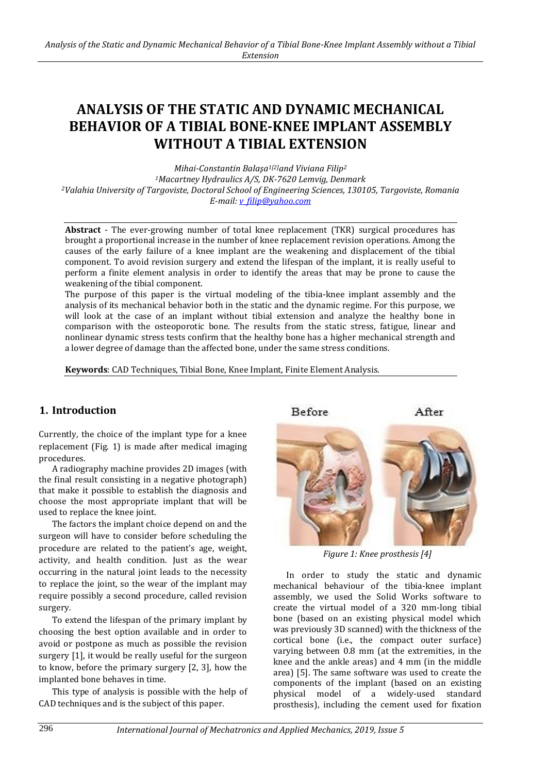# **ANALYSIS OF THE STATIC AND DYNAMIC MECHANICAL BEHAVIOR OF A TIBIAL BONE-KNEE IMPLANT ASSEMBLY WITHOUT A TIBIAL EXTENSION**

*Mihai-Constantin Balaşa1[2]and Viviana Filip<sup>2</sup> <sup>1</sup>Macartney Hydraulics A/S, DK-7620 Lemvig, Denmark <sup>2</sup>Valahia University of Targoviste, Doctoral School of Engineering Sciences, 130105, Targoviste, Romania E-mail[: v\\_filip@yahoo.com](mailto:v_filip@yahoo.com)* 

**Abstract** - The ever-growing number of total knee replacement (TKR) surgical procedures has brought a proportional increase in the number of knee replacement revision operations. Among the causes of the early failure of a knee implant are the weakening and displacement of the tibial component. To avoid revision surgery and extend the lifespan of the implant, it is really useful to perform a finite element analysis in order to identify the areas that may be prone to cause the weakening of the tibial component.

The purpose of this paper is the virtual modeling of the tibia-knee implant assembly and the analysis of its mechanical behavior both in the static and the dynamic regime. For this purpose, we will look at the case of an implant without tibial extension and analyze the healthy bone in comparison with the osteoporotic bone. The results from the static stress, fatigue, linear and nonlinear dynamic stress tests confirm that the healthy bone has a higher mechanical strength and a lower degree of damage than the affected bone, under the same stress conditions.

**Keywords**: CAD Techniques, Tibial Bone, Knee Implant, Finite Element Analysis.

#### **1. Introduction**

Currently, the choice of the implant type for a knee replacement (Fig. 1) is made after medical imaging procedures.

A radiography machine provides 2D images (with the final result consisting in a negative photograph) that make it possible to establish the diagnosis and choose the most appropriate implant that will be used to replace the knee joint.

The factors the implant choice depend on and the surgeon will have to consider before scheduling the procedure are related to the patient's age, weight, activity, and health condition. Just as the wear occurring in the natural joint leads to the necessity to replace the joint, so the wear of the implant may require possibly a second procedure, called revision surgery.

To extend the lifespan of the primary implant by choosing the best option available and in order to avoid or postpone as much as possible the revision surgery [1], it would be really useful for the surgeon to know, before the primary surgery [2, 3], how the implanted bone behaves in time.

This type of analysis is possible with the help of CAD techniques and is the subject of this paper.



*Figure 1: Knee prosthesis [4]*

In order to study the static and dynamic mechanical behaviour of the tibia-knee implant assembly, we used the Solid Works software to create the virtual model of a 320 mm-long tibial bone (based on an existing physical model which was previously 3D scanned) with the thickness of the cortical bone (i.e., the compact outer surface) varying between 0.8 mm (at the extremities, in the knee and the ankle areas) and 4 mm (in the middle area) [5]. The same software was used to create the components of the implant (based on an existing physical model of a widely-used standard prosthesis), including the cement used for fixation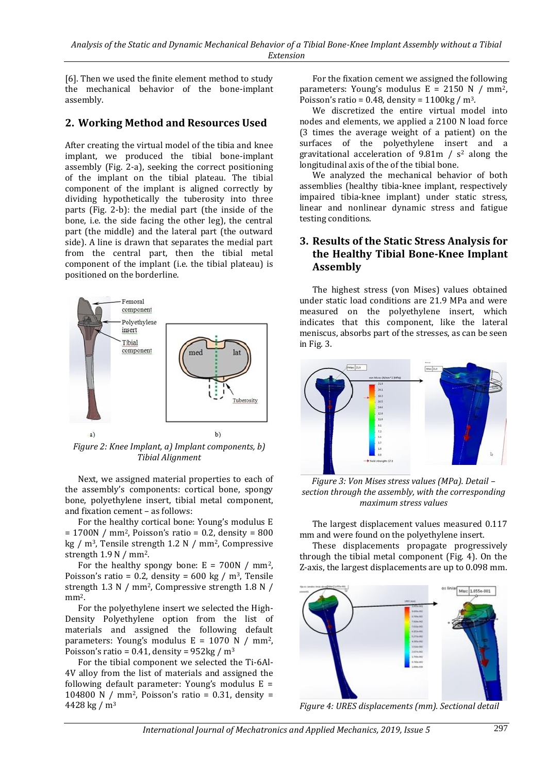[6]. Then we used the finite element method to study the mechanical behavior of the bone-implant assembly.

#### **2. Working Method and Resources Used**

After creating the virtual model of the tibia and knee implant, we produced the tibial bone-implant assembly (Fig. 2-a), seeking the correct positioning of the implant on the tibial plateau. The tibial component of the implant is aligned correctly by dividing hypothetically the tuberosity into three parts (Fig. 2-b): the medial part (the inside of the bone, i.e. the side facing the other leg), the central part (the middle) and the lateral part (the outward side). A line is drawn that separates the medial part from the central part, then the tibial metal component of the implant (i.e. the tibial plateau) is positioned on the borderline.



*Figure 2: Knee Implant, a) Implant components, b) Tibial Alignment*

Next, we assigned material properties to each of the assembly's components: cortical bone, spongy bone, polyethylene insert, tibial metal component, and fixation cement – as follows:

For the healthy cortical bone: Young's modulus E = 1700N / mm2, Poisson's ratio = 0.2, density = 800 kg / m3, Tensile strength 1.2 N / mm2, Compressive strength 1.9 N / mm2.

For the healthy spongy bone:  $E = 700N / mm^2$ . Poisson's ratio = 0.2, density = 600 kg /  $m^3$ , Tensile strength 1.3 N / mm2, Compressive strength 1.8 N / mm<sup>2</sup>.

For the polyethylene insert we selected the High-Density Polyethylene option from the list of materials and assigned the following default parameters: Young's modulus  $E = 1070$  N / mm<sup>2</sup>, Poisson's ratio =  $0.41$ , density =  $952$ kg / m<sup>3</sup>

For the tibial component we selected the Ti-6Al-4V alloy from the list of materials and assigned the following default parameter: Young's modulus  $E =$ 104800 N / mm<sup>2</sup>, Poisson's ratio = 0.31, density = 4428 kg / m<sup>3</sup>

For the fixation cement we assigned the following parameters: Young's modulus  $E = 2150$  N / mm<sup>2</sup>, Poisson's ratio =  $0.48$ , density =  $1100$ kg / m<sup>3</sup>.

We discretized the entire virtual model into nodes and elements, we applied a 2100 N load force (3 times the average weight of a patient) on the surfaces of the polyethylene insert and a gravitational acceleration of  $9.81m / s<sup>2</sup>$  along the longitudinal axis of the of the tibial bone.

We analyzed the mechanical behavior of both assemblies (healthy tibia-knee implant, respectively impaired tibia-knee implant) under static stress, linear and nonlinear dynamic stress and fatigue testing conditions.

#### **3. Results of the Static Stress Analysis for the Healthy Tibial Bone-Knee Implant Assembly**

The highest stress (von Mises) values obtained under static load conditions are 21.9 MPa and were measured on the polyethylene insert, which indicates that this component, like the lateral meniscus, absorbs part of the stresses, as can be seen in Fig. 3.



*Figure 3: Von Mises stress values (MPa). Detail – section through the assembly, with the corresponding maximum stress values*

The largest displacement values measured 0.117 mm and were found on the polyethylene insert.

These displacements propagate progressively through the tibial metal component (Fig. 4). On the Z-axis, the largest displacements are up to 0.098 mm.



*Figure 4: URES displacements (mm). Sectional detail*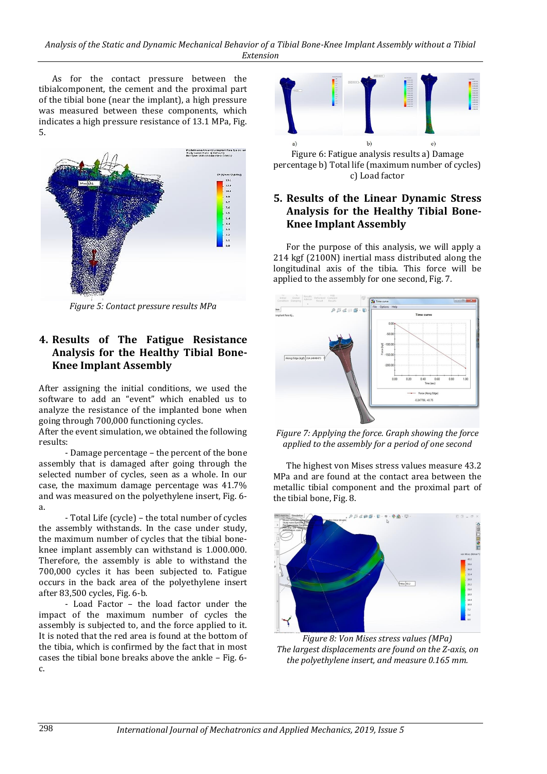As for the contact pressure between the tibialcomponent, the cement and the proximal part of the tibial bone (near the implant), a high pressure was measured between these components, which indicates a high pressure resistance of 13.1 MPa, Fig. 5.



*Figure 5: Contact pressure results MPa*

## **4. Results of The Fatigue Resistance Analysis for the Healthy Tibial Bone-Knee Implant Assembly**

After assigning the initial conditions, we used the software to add an "event" which enabled us to analyze the resistance of the implanted bone when going through 700,000 functioning cycles.

After the event simulation, we obtained the following results:

- Damage percentage – the percent of the bone assembly that is damaged after going through the selected number of cycles, seen as a whole. In our case, the maximum damage percentage was 41.7% and was measured on the polyethylene insert, Fig. 6 a.

- Total Life (cycle) – the total number of cycles the assembly withstands. In the case under study, the maximum number of cycles that the tibial boneknee implant assembly can withstand is 1.000.000. Therefore, the assembly is able to withstand the 700,000 cycles it has been subjected to. Fatigue occurs in the back area of the polyethylene insert after 83,500 cycles, Fig. 6-b.

- Load Factor – the load factor under the impact of the maximum number of cycles the assembly is subjected to, and the force applied to it. It is noted that the red area is found at the bottom of the tibia, which is confirmed by the fact that in most cases the tibial bone breaks above the ankle – Fig. 6 c.



Figure 6: Fatigue analysis results a) Damage percentage b) Total life (maximum number of cycles) c) Load factor

# **5. Results of the Linear Dynamic Stress Analysis for the Healthy Tibial Bone-Knee Implant Assembly**

For the purpose of this analysis, we will apply a 214 kgf (2100N) inertial mass distributed along the longitudinal axis of the tibia. This force will be applied to the assembly for one second, Fig. 7.



*Figure 7: Applying the force. Graph showing the force applied to the assembly for a period of one second*

The highest von Mises stress values measure 43.2 MPa and are found at the contact area between the metallic tibial component and the proximal part of the tibial bone, Fig. 8.



*Figure 8: Von Mises stress values (MPa) The largest displacements are found on the Z-axis, on the polyethylene insert, and measure 0.165 mm.*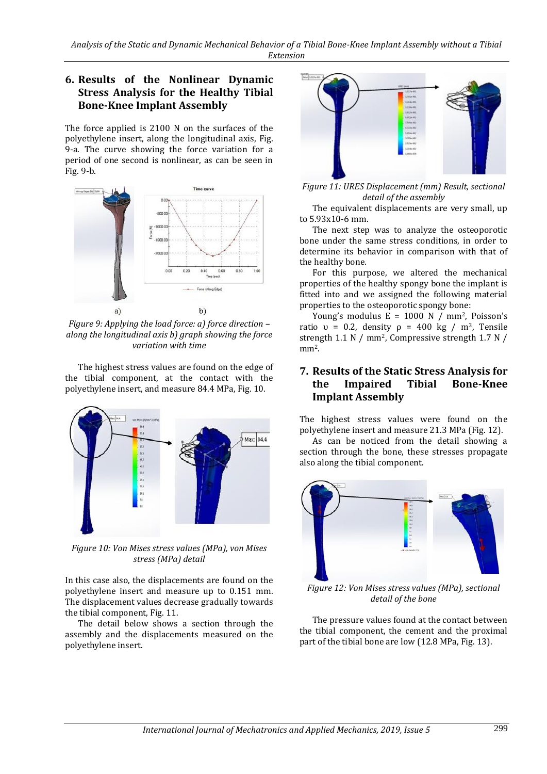## **6. Results of the Nonlinear Dynamic Stress Analysis for the Healthy Tibial Bone-Knee Implant Assembly**

The force applied is 2100 N on the surfaces of the polyethylene insert, along the longitudinal axis, Fig. 9-a. The curve showing the force variation for a period of one second is nonlinear, as can be seen in Fig. 9-b.



*Figure 9: Applying the load force: a) force direction – along the longitudinal axis b) graph showing the force variation with time*

The highest stress values are found on the edge of the tibial component, at the contact with the polyethylene insert, and measure 84.4 MPa, Fig. 10.



*Figure 10: Von Mises stress values (MPa), von Mises stress (MPa) detail*

In this case also, the displacements are found on the polyethylene insert and measure up to 0.151 mm. The displacement values decrease gradually towards the tibial component, Fig. 11.

The detail below shows a section through the assembly and the displacements measured on the polyethylene insert.



*Figure 11: URES Displacement (mm) Result, sectional detail of the assembly*

The equivalent displacements are very small, up to 5.93x10-6 mm.

The next step was to analyze the osteoporotic bone under the same stress conditions, in order to determine its behavior in comparison with that of the healthy bone.

For this purpose, we altered the mechanical properties of the healthy spongy bone the implant is fitted into and we assigned the following material properties to the osteoporotic spongy bone:

Young's modulus  $E = 1000 \text{ N} / \text{mm}^2$ , Poisson's ratio υ = 0.2, density  $ρ = 400$  kg / m<sup>3</sup>, Tensile strength 1.1 N / mm2, Compressive strength 1.7 N / mm<sup>2</sup>.

### **7. Results of the Static Stress Analysis for the Impaired Tibial Bone-Knee Implant Assembly**

The highest stress values were found on the polyethylene insert and measure 21.3 MPa (Fig. 12).

As can be noticed from the detail showing a section through the bone, these stresses propagate also along the tibial component.



*Figure 12: Von Mises stress values (MPa), sectional detail of the bone*

The pressure values found at the contact between the tibial component, the cement and the proximal part of the tibial bone are low (12.8 MPa, Fig. 13).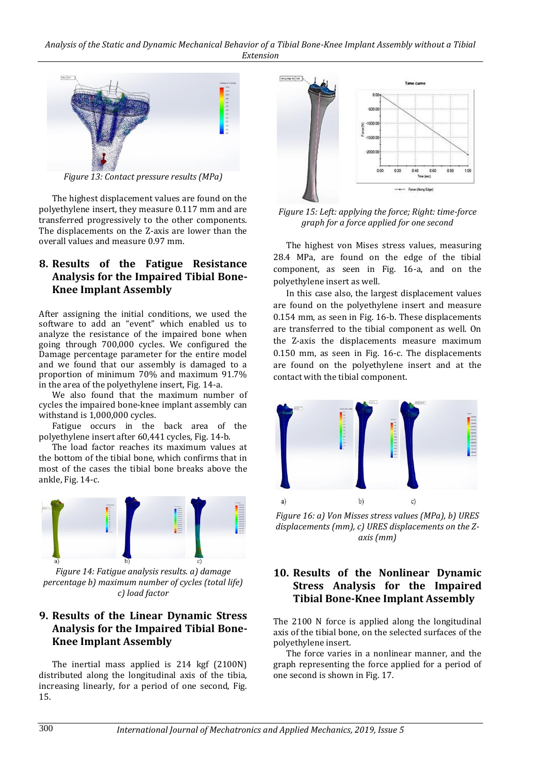*Analysis of the Static and Dynamic Mechanical Behavior of a Tibial Bone-Knee Implant Assembly without a Tibial Extension*



*Figure 13: Contact pressure results (MPa)*

The highest displacement values are found on the polyethylene insert, they measure 0.117 mm and are transferred progressively to the other components. The displacements on the Z-axis are lower than the overall values and measure 0.97 mm.

## **8. Results of the Fatigue Resistance Analysis for the Impaired Tibial Bone-Knee Implant Assembly**

After assigning the initial conditions, we used the software to add an "event" which enabled us to analyze the resistance of the impaired bone when going through 700,000 cycles. We configured the Damage percentage parameter for the entire model and we found that our assembly is damaged to a proportion of minimum 70% and maximum 91.7% in the area of the polyethylene insert, Fig. 14-a.

We also found that the maximum number of cycles the impaired bone-knee implant assembly can withstand is 1,000,000 cycles.

Fatigue occurs in the back area of the polyethylene insert after 60,441 cycles, Fig. 14-b.

The load factor reaches its maximum values at the bottom of the tibial bone, which confirms that in most of the cases the tibial bone breaks above the ankle, Fig. 14-c.



*Figure 14: Fatigue analysis results. a) damage percentage b) maximum number of cycles (total life) c) load factor*

## **9. Results of the Linear Dynamic Stress Analysis for the Impaired Tibial Bone-Knee Implant Assembly**

The inertial mass applied is 214 kgf (2100N) distributed along the longitudinal axis of the tibia, increasing linearly, for a period of one second, Fig. 15.



*Figure 15: Left: applying the force; Right: time-force graph for a force applied for one second*

The highest von Mises stress values, measuring 28.4 MPa, are found on the edge of the tibial component, as seen in Fig. 16-a, and on the polyethylene insert as well.

In this case also, the largest displacement values are found on the polyethylene insert and measure 0.154 mm, as seen in Fig. 16-b. These displacements are transferred to the tibial component as well. On the Z-axis the displacements measure maximum 0.150 mm, as seen in Fig. 16-c. The displacements are found on the polyethylene insert and at the contact with the tibial component.



*Figure 16: a) Von Misses stress values (MPa), b) URES displacements (mm), c) URES displacements on the Zaxis (mm)*

### **10. Results of the Nonlinear Dynamic Stress Analysis for the Impaired Tibial Bone-Knee Implant Assembly**

The 2100 N force is applied along the longitudinal axis of the tibial bone, on the selected surfaces of the polyethylene insert.

The force varies in a nonlinear manner, and the graph representing the force applied for a period of one second is shown in Fig. 17.